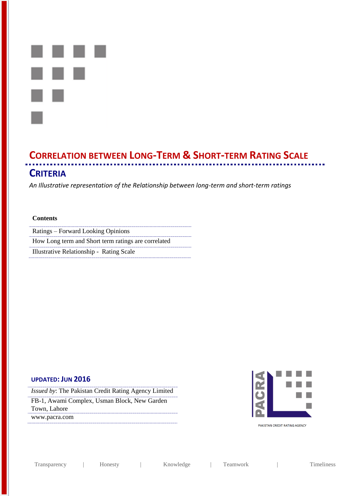

# **CORRELATION BETWEEN LONG-TERM & SHORT-TERM RATING SCALE CRITERIA**

*An Illustrative representation of the Relationship between long-term and short-term ratings*

### **Contents**

Ratings – Forward Looking Opinions How Long term and Short term ratings are correlated

Illustrative Relationship - Rating Scale

### **UPDATED: JUN 2016**

*Issued by*: The Pakistan Credit Rating Agency Limited FB-1, Awami Complex, Usman Block, New Garden Town, Lahore www.pacra.com



PAKISTAN CREDIT RATING AGENCY

Transparency | Honesty | Knowledge | Teamwork | Timeliness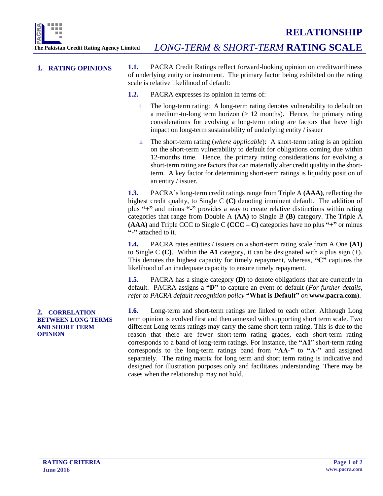

**1. RATING OPINIONS 1.1.** PACRA Credit Ratings reflect forward-looking opinion on creditworthiness of underlying entity or instrument. The primary factor being exhibited on the rating scale is relative likelihood of default:

- **1.2.** PACRA expresses its opinion in terms of:
	- i The long-term rating: A long-term rating denotes vulnerability to default on a medium-to-long term horizon  $(> 12 \text{ months})$ . Hence, the primary rating considerations for evolving a long-term rating are factors that have high impact on long-term sustainability of underlying entity / issuer
	- ii The short-term rating (*where applicable*): A short-term rating is an opinion on the short-term vulnerability to default for obligations coming due within 12-months time. Hence, the primary rating considerations for evolving a short-term rating are factors that can materially alter credit quality in the shortterm. A key factor for determining short-term ratings is liquidity position of an entity / issuer.

**1.3.** PACRA's long-term credit ratings range from Triple A **(AAA)**, reflecting the highest credit quality, to Single C **(C)** denoting imminent default. The addition of plus **"+"** and minus **"-"** provides a way to create relative distinctions within rating categories that range from Double A **(AA)** to Single B **(B)** category. The Triple A **(AAA)** and Triple CCC to Single C **(CCC – C)** categories have no plus **"+"** or minus **"-"** attached to it.

**1.4.** PACRA rates entities / issuers on a short-term rating scale from A One **(A1)** to Single C **(C)**. Within the **A1** category, it can be designated with a plus sign (+). This denotes the highest capacity for timely repayment, whereas, **"C"** captures the likelihood of an inadequate capacity to ensure timely repayment.

**1.5.** PACRA has a single category **(D)** to denote obligations that are currently in default. PACRA assigns a **"D"** to capture an event of default (*For further details, refer to PACRA default recognition policy* **"What is Default"** *on* **www.pacra.com**).

**1.6.** Long-term and short-term ratings are linked to each other. Although Long term opinion is evolved first and then annexed with supporting short term scale. Two different Long terms ratings may carry the same short term rating. This is due to the reason that there are fewer short-term rating grades, each short-term rating corresponds to a band of long-term ratings. For instance, the **"A1**" short-term rating corresponds to the long-term ratings band from **"AA-"** to **"A-"** and assigned separately. The rating matrix for long term and short term rating is indicative and designed for illustration purposes only and facilitates understanding. There may be cases when the relationship may not hold.

### **2. CORRELATION BETWEEN LONG TERMS AND SHORT TERM OPINION**